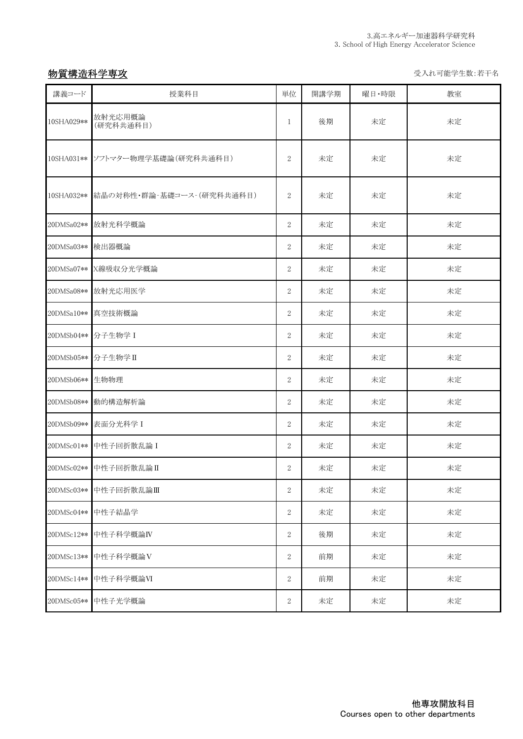## 物質構造科学専攻 ということにはない しょうしゃ しょうしょう しゅうしゅう かいじゅつ ライル可能学生数:若干名

| 講義コード            | 授業科目                                  | 単位             | 開講学期 | 曜日·時限 | 教室 |
|------------------|---------------------------------------|----------------|------|-------|----|
| 10SHA029**       | 放射光応用概論<br>(研究科共通科目)                  | 1              | 後期   | 未定    | 未定 |
|                  | 10SHA031 ** ソフトマター物理学基礎論(研究科共通科目)     | $\overline{2}$ | 未定   | 未定    | 未定 |
|                  | 10SHA032**  結晶の対称性・群論-基礎コース-(研究科共通科目) | $\overline{2}$ | 未定   | 未定    | 未定 |
|                  | 20DMSa02** 放射光科学概論                    | $\overline{2}$ | 未定   | 未定    | 未定 |
| 20DMSa03** 検出器概論 |                                       | $\overline{2}$ | 未定   | 未定    | 未定 |
|                  | 20DMSa07** X線吸収分光学概論                  | $\overline{2}$ | 未定   | 未定    | 未定 |
|                  | 20DMSa08** 放射光応用医学                    | $\overline{2}$ | 未定   | 未定    | 未定 |
|                  | 20DMSa10** 真空技術概論                     | $\overline{2}$ | 未定   | 未定    | 未定 |
|                  | 20DMSb04** 分子生物学 I                    | $\overline{2}$ | 未定   | 未定    | 未定 |
|                  | 20DMSb05** 分子生物学 II                   | $\overline{2}$ | 未定   | 未定    | 未定 |
| 20DMSb06** 生物物理  |                                       | $\overline{2}$ | 未定   | 未定    | 未定 |
|                  | 20DMSb08** 動的構造解析論                    | $\overline{2}$ | 未定   | 未定    | 未定 |
|                  | 20DMSb09** 表面分光科学 I                   | $\overline{2}$ | 未定   | 未定    | 未定 |
|                  | 20DMSc01 ** 中性子回折散乱論 I                | $\overline{2}$ | 未定   | 未定    | 未定 |
|                  | 20DMSc02 ** 中性子回折散乱論 II               | $\overline{2}$ | 未定   | 未定    | 未定 |
| 20DMSc03**       | 中性子回折散乱論Ⅲ                             | $\overline{2}$ | 未定   | 未定    | 未定 |
|                  | 20DMSc04** 中性子結晶学                     | $\,2$          | 未定   | 未定    | 未定 |
| 20DMSc12**       | 中性子科学概論IV                             | $\overline{2}$ | 後期   | 未定    | 未定 |
| 20DMSc13**       | 中性子科学概論V                              | $\,2$          | 前期   | 未定    | 未定 |
| 20DMSc14**       | 中性子科学概論VI                             | $\,2$          | 前期   | 未定    | 未定 |
| 20DMSc05**       | 中性子光学概論                               | 2              | 未定   | 未定    | 未定 |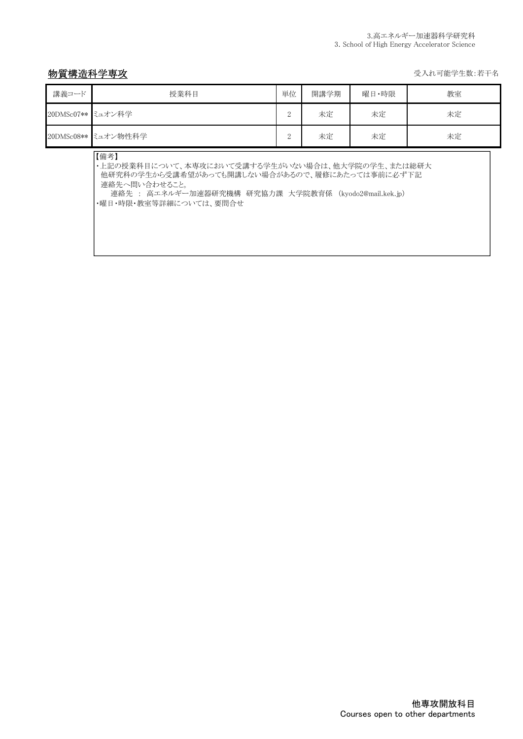## 物質構造科学専攻 そうしゃ しょうしゃ しょうしゃ しゅうしゃ かいしゃ かいしゅう かいじゅつ 受入れ可能学生数:若干名

| 講義コード             | 授業科目                                                                                                                                                                                                           | 単位             | 開講学期 | 曜日・時限 | 教室 |  |  |
|-------------------|----------------------------------------------------------------------------------------------------------------------------------------------------------------------------------------------------------------|----------------|------|-------|----|--|--|
| 20DMSc07** ミュオン科学 |                                                                                                                                                                                                                | $\overline{2}$ | 未定   | 未定    | 未定 |  |  |
|                   | 20DMSc08** ミュオン物性科学                                                                                                                                                                                            | 2              | 未定   | 未定    | 未定 |  |  |
|                   | 【備考】<br>・上記の授業科目について、本専攻において受講する学生がいない場合は、他大学院の学生、または総研大<br>他研究科の学生から受講希望があっても開講しない場合があるので、履修にあたっては事前に必ず下記<br>連絡先へ問い合わせること。<br>連絡先 : 高エネルギー加速器研究機構 研究協力課 大学院教育係 (kyodo2@mail.kek.jp)<br>・曜日・時限・教室等詳細については、要問合せ |                |      |       |    |  |  |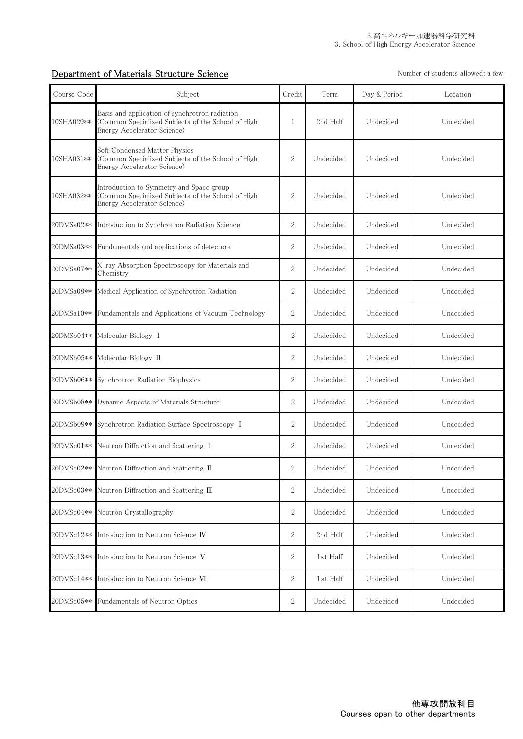## **Department of Materials Structure Science** Number of students allowed: a few

| Course Code | Subject                                                                                                                             | Credit           | Term      | Day & Period | Location  |
|-------------|-------------------------------------------------------------------------------------------------------------------------------------|------------------|-----------|--------------|-----------|
| 10SHA029**  | Basis and application of synchrotron radiation<br>(Common Specialized Subjects of the School of High<br>Energy Accelerator Science) | 1                | 2nd Half  | Undecided    | Undecided |
| 10SHA031**  | Soft Condensed Matter Physics<br>(Common Specialized Subjects of the School of High<br>Energy Accelerator Science)                  | $\overline{2}$   | Undecided | Undecided    | Undecided |
| 10SHA032**  | Introduction to Symmetry and Space group<br>(Common Specialized Subjects of the School of High<br>Energy Accelerator Science)       | $\overline{2}$   | Undecided | Undecided    | Undecided |
| 20DMSa02**  | Introduction to Synchrotron Radiation Science                                                                                       | 2                | Undecided | Undecided    | Undecided |
| 20DMSa03**  | Fundamentals and applications of detectors                                                                                          | 2                | Undecided | Undecided    | Undecided |
| 20DMSa07**  | X-ray Absorption Spectroscopy for Materials and<br>Chemistry                                                                        | $\overline{2}$   | Undecided | Undecided    | Undecided |
| 20DMSa08**  | Medical Application of Synchrotron Radiation                                                                                        | $\sqrt{2}$       | Undecided | Undecided    | Undecided |
| 20DMSa10**  | Fundamentals and Applications of Vacuum Technology                                                                                  | 2                | Undecided | Undecided    | Undecided |
| 20DMSb04**  | Molecular Biology I                                                                                                                 | $\sqrt{2}$       | Undecided | Undecided    | Undecided |
| 20DMSb05**  | Molecular Biology II                                                                                                                | 2                | Undecided | Undecided    | Undecided |
| 20DMSb06**  | Synchrotron Radiation Biophysics                                                                                                    | 2                | Undecided | Undecided    | Undecided |
| 20DMSb08**  | Dynamic Aspects of Materials Structure                                                                                              | $\sqrt{2}$       | Undecided | Undecided    | Undecided |
| 20DMSb09**  | Synchrotron Radiation Surface Spectroscopy I                                                                                        | $\sqrt{2}$       | Undecided | Undecided    | Undecided |
| 20DMSc01**  | Neutron Diffraction and Scattering I                                                                                                | 2                | Undecided | Undecided    | Undecided |
|             | 20DMSc02 ** Neutron Diffraction and Scattering II                                                                                   | $\overline{2}$   | Undecided | Undecided    | Undecided |
| 20DMSc03**  | Neutron Diffraction and Scattering III                                                                                              | $\sqrt{2}$       | Undecided | Undecided    | Undecided |
| 20DMSc04**  | Neutron Crystallography                                                                                                             | 2                | Undecided | Undecided    | Undecided |
| 20DMSc12**  | Introduction to Neutron Science IV                                                                                                  | $\overline{2}$   | 2nd Half  | Undecided    | Undecided |
| 20DMSc13**  | Introduction to Neutron Science V                                                                                                   | $\boldsymbol{2}$ | 1st Half  | Undecided    | Undecided |
| 20DMSc14**  | Introduction to Neutron Science VI                                                                                                  | $\boldsymbol{2}$ | 1st Half  | Undecided    | Undecided |
| 20DMSc05**  | Fundamentals of Neutron Optics                                                                                                      | $\overline{2}$   | Undecided | Undecided    | Undecided |